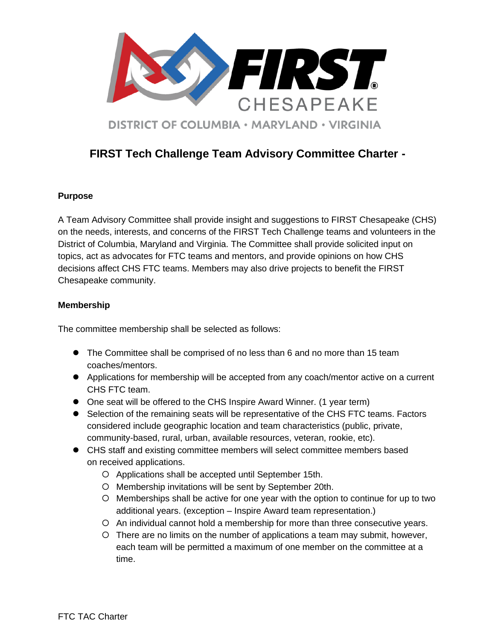

# **FIRST Tech Challenge Team Advisory Committee Charter -**

### **Purpose**

A Team Advisory Committee shall provide insight and suggestions to FIRST Chesapeake (CHS) on the needs, interests, and concerns of the FIRST Tech Challenge teams and volunteers in the District of Columbia, Maryland and Virginia. The Committee shall provide solicited input on topics, act as advocates for FTC teams and mentors, and provide opinions on how CHS decisions affect CHS FTC teams. Members may also drive projects to benefit the FIRST Chesapeake community.

## **Membership**

The committee membership shall be selected as follows:

- The Committee shall be comprised of no less than 6 and no more than 15 team coaches/mentors.
- Applications for membership will be accepted from any coach/mentor active on a current CHS FTC team.
- One seat will be offered to the CHS Inspire Award Winner. (1 year term)
- Selection of the remaining seats will be representative of the CHS FTC teams. Factors considered include geographic location and team characteristics (public, private, community-based, rural, urban, available resources, veteran, rookie, etc).
- CHS staff and existing committee members will select committee members based on received applications.
	- Applications shall be accepted until September 15th.
	- O Membership invitations will be sent by September 20th.
	- Memberships shall be active for one year with the option to continue for up to two additional years. (exception – Inspire Award team representation.)
	- An individual cannot hold a membership for more than three consecutive years.
	- There are no limits on the number of applications a team may submit, however, each team will be permitted a maximum of one member on the committee at a time.